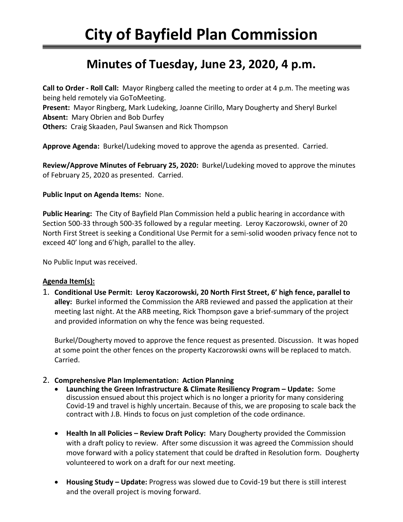# **Minutes of Tuesday, June 23, 2020, 4 p.m.**

**Call to Order - Roll Call:** Mayor Ringberg called the meeting to order at 4 p.m. The meeting was being held remotely via GoToMeeting.

**Present:** Mayor Ringberg, Mark Ludeking, Joanne Cirillo, Mary Dougherty and Sheryl Burkel **Absent:** Mary Obrien and Bob Durfey

**Others:** Craig Skaaden, Paul Swansen and Rick Thompson

**Approve Agenda:** Burkel/Ludeking moved to approve the agenda as presented. Carried.

**Review/Approve Minutes of February 25, 2020:** Burkel/Ludeking moved to approve the minutes of February 25, 2020 as presented. Carried.

#### **Public Input on Agenda Items:** None.

**Public Hearing:** The City of Bayfield Plan Commission held a public hearing in accordance with Section 500-33 through 500-35 followed by a regular meeting. Leroy Kaczorowski, owner of 20 North First Street is seeking a Conditional Use Permit for a semi-solid wooden privacy fence not to exceed 40' long and 6'high, parallel to the alley.

No Public Input was received.

## **Agenda Item(s):**

1. **Conditional Use Permit: Leroy Kaczorowski, 20 North First Street, 6' high fence, parallel to alley:** Burkel informed the Commission the ARB reviewed and passed the application at their meeting last night. At the ARB meeting, Rick Thompson gave a brief-summary of the project and provided information on why the fence was being requested.

Burkel/Dougherty moved to approve the fence request as presented. Discussion. It was hoped at some point the other fences on the property Kaczorowski owns will be replaced to match. Carried.

## 2. **Comprehensive Plan Implementation: Action Planning**

- **Launching the Green Infrastructure & Climate Resiliency Program – Update:** Some discussion ensued about this project which is no longer a priority for many considering Covid-19 and travel is highly uncertain. Because of this, we are proposing to scale back the contract with J.B. Hinds to focus on just completion of the code ordinance.
- **Health In all Policies – Review Draft Policy:** Mary Dougherty provided the Commission with a draft policy to review. After some discussion it was agreed the Commission should move forward with a policy statement that could be drafted in Resolution form. Dougherty volunteered to work on a draft for our next meeting.
- **Housing Study – Update:** Progress was slowed due to Covid-19 but there is still interest and the overall project is moving forward.